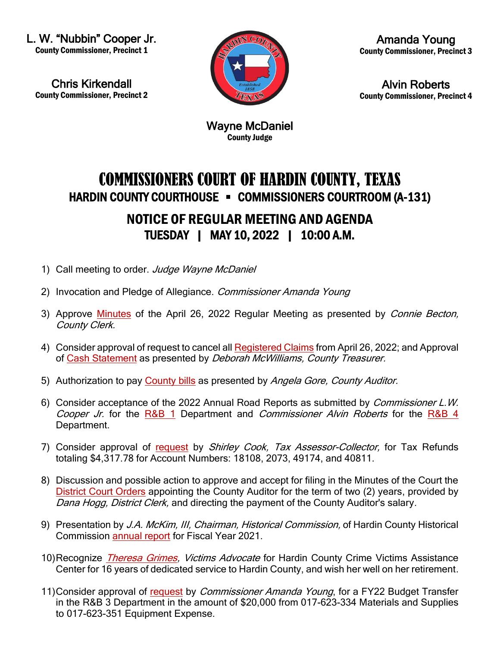L. W. "Nubbin" Cooper Jr. County Commissioner, Precinct 1

Chris Kirkendall County Commissioner, Precinct 2



Amanda Young County Commissioner, Precinct 3

Alvin Roberts County Commissioner, Precinct 4

Wayne McDaniel County Judge

## COMMISSIONERS COURT OF HARDIN COUNTY, TEXAS HARDIN COUNTY COURTHOUSE • COMMISSIONERS COURTROOM (A-131)

## NOTICE OF REGULAR MEETING AND AGENDA TUESDAY | MAY 10, 2022 | 10:00 A.M.

- 1) Call meeting to order. Judge Wayne McDaniel
- 2) Invocation and Pledge of Allegiance. Commissioner Amanda Young
- 3) Approve [Minutes](https://newtools.cira.state.tx.us/upload/page/10643/Agenda%20Documents/May%202022/Agenda%20and%20Minutes%20April%2026%2022.pdf) of the April 26, 2022 Regular Meeting as presented by Connie Becton, County Clerk.
- 4) Consider approval of request to cancel all [Registered Claims](https://newtools.cira.state.tx.us/upload/page/10643/Agenda%20Documents/May%202022/Release%20of%20Liability%205%2010%2022%20Treasurer.PDF) from April 26, 2022; and Approval of [Cash Statement](https://newtools.cira.state.tx.us/upload/page/10643/Agenda%20Documents/May%202022/Cash%20Report%20Summary%205%2010%2022%20Treasurer.PDF) as presented by Deborah McWilliams, County Treasurer.
- 5) Authorization to pay [County bills](https://newtools.cira.state.tx.us/upload/page/10643/Agenda%20Documents/May%202022/Checks%20Claim%20List%205%2010%2022.pdf) as presented by Angela Gore, County Auditor.
- 6) Consider acceptance of the 2022 Annual Road Reports as submitted by Commissioner L.W. Cooper Jr. for the [R&B 1](https://newtools.cira.state.tx.us/upload/page/10643/Agenda%20Documents/May%202022/2022%20PCT%201%20Annual%20Road%20Report.pdf) Department and Commissioner Alvin Roberts for the [R&B 4](https://newtools.cira.state.tx.us/upload/page/10643/Agenda%20Documents/May%202022/RB%20PCT%204%20Annual%20Report%202022.pdf) Department.
- 7) Consider approval of [request](https://newtools.cira.state.tx.us/upload/page/10643/Agenda%20Documents/May%202022/Letter%20from%20Shirley%20Cook%20%20Tax%20Refunds.pdf) by Shirley Cook, Tax Assessor-Collector, for Tax Refunds totaling \$4,317.78 for Account Numbers: 18108, 2073, 49174, and 40811.
- 8) Discussion and possible action to approve and accept for filing in the Minutes of the Court the [District Court Orders](https://newtools.cira.state.tx.us/upload/page/10643/Agenda%20Documents/May%202022/County%20Auditor%20Appointment%205%203%2022.PDF) appointing the County Auditor for the term of two (2) years, provided by Dana Hogg, District Clerk, and directing the payment of the County Auditor's salary.
- 9) Presentation by J.A. McKim, III, Chairman, Historical Commission, of Hardin County Historical Commission [annual report](https://newtools.cira.state.tx.us/upload/page/10643/Agenda%20Documents/May%202022/HC%20Historical%20Commissionannual%20Report%202021.pdf) for Fiscal Year 2021.
- 10)Recognize *[Theresa Grimes,](https://newtools.cira.state.tx.us/upload/page/10643/Agenda%20Documents/May%202022/Email%20from%20Melinda%20Herrington%205%203%2022.pdf) Victims Advocate* for Hardin County Crime Victims Assistance Center for 16 years of dedicated service to Hardin County, and wish her well on her retirement.
- 11)Consider approval of [request](https://newtools.cira.state.tx.us/upload/page/10643/Agenda%20Documents/May%202022/Email%20from%20Amanda%20Young%205%204%2022.pdf) by *Commissioner Amanda Young*, for a FY22 Budget Transfer in the R&B 3 Department in the amount of \$20,000 from 017-623-334 Materials and Supplies to 017-623-351 Equipment Expense.